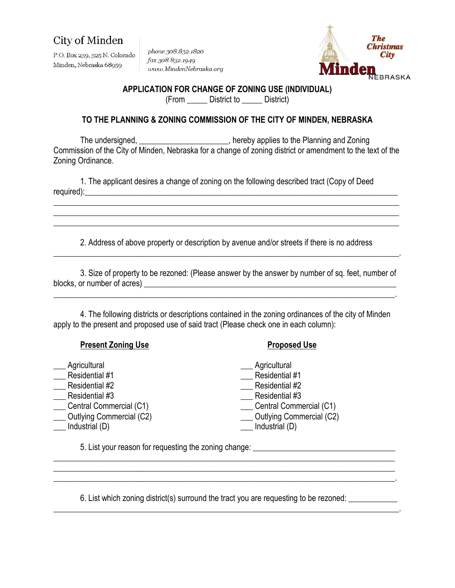# City of Minden

P.O. Box 239, 325 N. Colorado Minden, Nebraska 68959

phone 308.832.1820 fax 308.832.1949 www.MindenNebraska.org



#### **APPLICATION FOR CHANGE OF ZONING USE (INDIVIDUAL)**

(From \_\_\_\_\_ District to \_\_\_\_\_ District)

### **TO THE PLANNING & ZONING COMMISSION OF THE CITY OF MINDEN, NEBRASKA**

The undersigned, **The undersigned, Network**, hereby applies to the Planning and Zoning Commission of the City of Minden, Nebraska for a change of zoning district or amendment to the text of the Zoning Ordinance.

1. The applicant desires a change of zoning on the following described tract (Copy of Deed required):\_\_\_\_\_\_\_\_\_\_\_\_\_\_\_\_\_\_\_\_\_\_\_\_\_\_\_\_\_\_\_\_\_\_\_\_\_\_\_\_\_\_\_\_\_\_\_\_\_\_\_\_\_\_\_\_\_\_\_\_\_\_\_\_\_\_\_\_\_\_\_\_\_\_\_\_\_

2. Address of above property or description by avenue and/or streets if there is no address \_\_\_\_\_\_\_\_\_\_\_\_\_\_\_\_\_\_\_\_\_\_\_\_\_\_\_\_\_\_\_\_\_\_\_\_\_\_\_\_\_\_\_\_\_\_\_\_\_\_\_\_\_\_\_\_\_\_\_\_\_\_\_\_\_\_\_\_\_\_\_\_\_\_\_\_\_\_\_\_\_\_\_\_\_.

\_\_\_\_\_\_\_\_\_\_\_\_\_\_\_\_\_\_\_\_\_\_\_\_\_\_\_\_\_\_\_\_\_\_\_\_\_\_\_\_\_\_\_\_\_\_\_\_\_\_\_\_\_\_\_\_\_\_\_\_\_\_\_\_\_\_\_\_\_\_\_\_\_\_\_\_\_\_\_\_\_\_\_\_\_ \_\_\_\_\_\_\_\_\_\_\_\_\_\_\_\_\_\_\_\_\_\_\_\_\_\_\_\_\_\_\_\_\_\_\_\_\_\_\_\_\_\_\_\_\_\_\_\_\_\_\_\_\_\_\_\_\_\_\_\_\_\_\_\_\_\_\_\_\_\_\_\_\_\_\_\_\_\_\_\_\_\_\_\_\_ \_\_\_\_\_\_\_\_\_\_\_\_\_\_\_\_\_\_\_\_\_\_\_\_\_\_\_\_\_\_\_\_\_\_\_\_\_\_\_\_\_\_\_\_\_\_\_\_\_\_\_\_\_\_\_\_\_\_\_\_\_\_\_\_\_\_\_\_\_\_\_\_\_\_\_\_\_\_\_\_\_\_\_\_\_

3. Size of property to be rezoned: (Please answer by the answer by number of sq. feet, number of blocks, or number of acres) **with a set of acres** and  $\alpha$  and  $\alpha$  and  $\alpha$  and  $\alpha$  and  $\alpha$  and  $\alpha$  and  $\alpha$  and  $\alpha$  and  $\alpha$  and  $\alpha$  and  $\alpha$  and  $\alpha$  and  $\alpha$  and  $\alpha$  and  $\alpha$  and  $\alpha$  and  $\alpha$  and  $\alpha$  and  $\alpha$  a

\_\_\_\_\_\_\_\_\_\_\_\_\_\_\_\_\_\_\_\_\_\_\_\_\_\_\_\_\_\_\_\_\_\_\_\_\_\_\_\_\_\_\_\_\_\_\_\_\_\_\_\_\_\_\_\_\_\_\_\_\_\_\_\_\_\_\_\_\_\_\_\_\_\_\_\_\_\_\_\_\_\_\_\_.

4. The following districts or descriptions contained in the zoning ordinances of the city of Minden apply to the present and proposed use of said tract (Please check one in each column):

### **Present Zoning Use 2020 20:00 Proposed Use**

- Agricultural **Agricultural** Agricultural Agricultural Agricultural Agricultural Agricultural
- 
- 
- 
- 
- 

- Let us a set of the Residential #1  $\blacksquare$  Residential #1
- Let a Residential #2 and  $\overline{z}$  Residential #2
- dential #3 and Residential #3 and Residential #3
- \_\_\_ Central Commercial (C1) \_\_\_ Central Commercial (C1)
	- \_\_\_ Outlying Commercial (C2) \_\_\_ Outlying Commercial (C2)
- \_\_\_ Industrial (D) \_\_\_ Industrial (D)

5. List your reason for requesting the zoning change:

6. List which zoning district(s) surround the tract you are requesting to be rezoned: \_\_\_\_\_\_\_\_\_\_\_\_\_

\_\_\_\_\_\_\_\_\_\_\_\_\_\_\_\_\_\_\_\_\_\_\_\_\_\_\_\_\_\_\_\_\_\_\_\_\_\_\_\_\_\_\_\_\_\_\_\_\_\_\_\_\_\_\_\_\_\_\_\_\_\_\_\_\_\_\_\_\_\_\_\_\_\_\_\_\_\_\_\_\_\_\_\_ \_\_\_\_\_\_\_\_\_\_\_\_\_\_\_\_\_\_\_\_\_\_\_\_\_\_\_\_\_\_\_\_\_\_\_\_\_\_\_\_\_\_\_\_\_\_\_\_\_\_\_\_\_\_\_\_\_\_\_\_\_\_\_\_\_\_\_\_\_\_\_\_\_\_\_\_\_\_\_\_\_\_\_\_

\_\_\_\_\_\_\_\_\_\_\_\_\_\_\_\_\_\_\_\_\_\_\_\_\_\_\_\_\_\_\_\_\_\_\_\_\_\_\_\_\_\_\_\_\_\_\_\_\_\_\_\_\_\_\_\_\_\_\_\_\_\_\_\_\_\_\_\_\_\_\_\_\_\_\_\_\_\_\_\_\_\_\_\_\_.